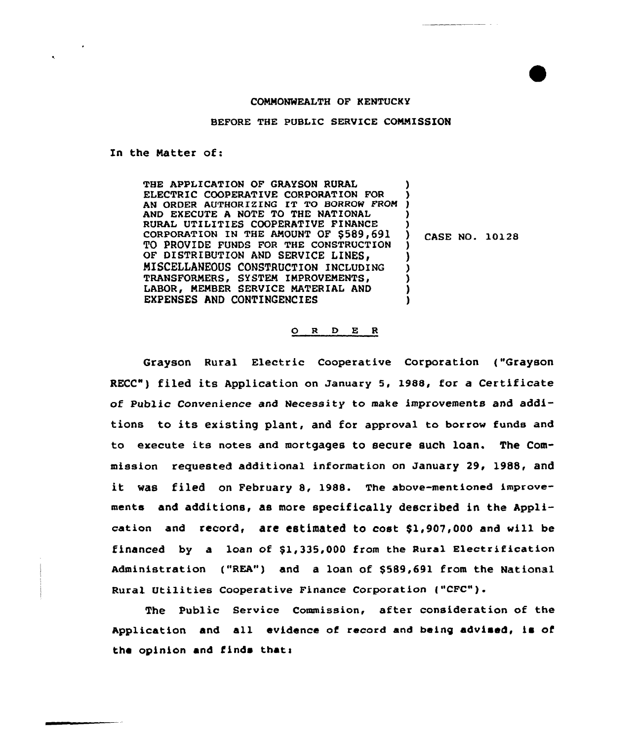## COMMONWEALTH OF KENTUCKY

## BEFORE THE PUBLIC SERVICE COMNISSION

In the Natter of:

THE APPLICATION OF GRAYSON RURAL ELECTRIC COOPERATIVE CORPORATION FOR ELECTRIC COOPERATIVE CORPORATION FOR )<br>AN ORDER AUTHORIZING IT TO BORROW FROM ) AND EXECUTE A NOTE TO THE NATIONAL RURAL UTILITIES COOPERATIVE FINANCE CORPORATION IN THE AMOUNT OF \$589,691 TO PROVIDE FUNDS FOR THE CONSTRUCTION OF DISTRIBUTION AND SERVICE LINES, MISCELLANEOUS CONSTRUCTION INCLUDING TRANSFORMERS, SYSTEM IMPROVEMENTS, LABOR, NEMBER SERVICE NATERIAL AND EXPENSES AND CONTINGENCIES ) ) ) ) ) CASE NO. 10128 ) ) ) ) ) )

## 0 <sup>R</sup> <sup>D</sup> E <sup>R</sup>

Grayson Rural Electric Cooperative Corporation ("Grayson RECC") filed its Application on January 5, 1988, for a Certificate of Public Convenience and Necessity to make improvements and additions to its existing plant, and for approval to borrow funds and to execute its notes and mortgages to secure such loan. The Commission requested additional information on January 29, 1988, and it was filed on February 8, 1988. The above-mentioned improvements and additions, as more specifically described in the Application and record, are estimated to cost \$1,907,000 and will be financed by a loan of  $$1,335,000$  from the Rural Electrification Administration ("REA") and a loan of \$589,691 from the National Rural Utilities Cooperative Finance Corporation ("CFC").

The Public Service Commission, after consideration of the Application and all evidence of record and being advised, is of the opinion and finds that: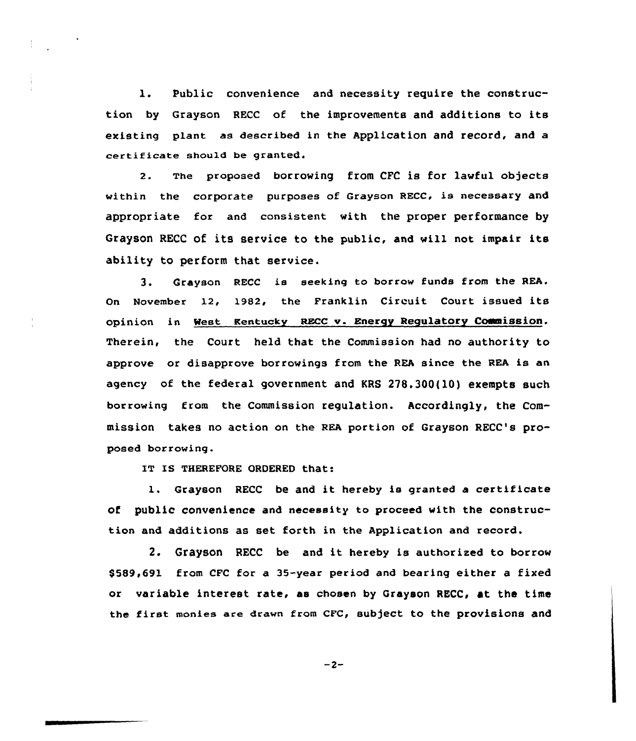l. Public convenience and necessity require the construction by Grayson RECC of the improvements and additions to its existing plant as described in the Application and record, and a certificate should be granted.

2. The proposed borrowing from CFC is for lawful objects within the corporate purposes of Grayson RECC, is necessary and appropriate for and consistent with the proper performance by Grayson RECC of its service to the public, and will not impair its ability to perform that service.

3. Grayson RECC is seeking to borrow funds from the REA. On November 12, 1982, the Franklin Circuit Court issued its opinion in West Kentucky RECC v. Energy Regulatory Commission. Therein, the Court held that the Commission had no authority to approve or disapprove borrowings from the REA since the REA is an agency of the federal government and KRS 278.300(10) exempts such borrowing from the Commission regulation. Accordingly, the Commission takes no action on the REA portion of Grayson RECC's proposed borrowing.

IT IS THEREFORE ORDERED that:

l. Grayson RECC be and it hereby is granted <sup>a</sup> certificate of public convenience and necessity to proceed with the construction and additions as set forth in the Application and record.

2. Grayson RECC be and it hereby is authorized to borrow \$5&9,691 from CFC for a 35-year period and bearing either a fixed or variable interest rate, as chosen by Grayson RECC, at the time the first monies are drawn from CFC, subject to the provisions and

$$
-2 -
$$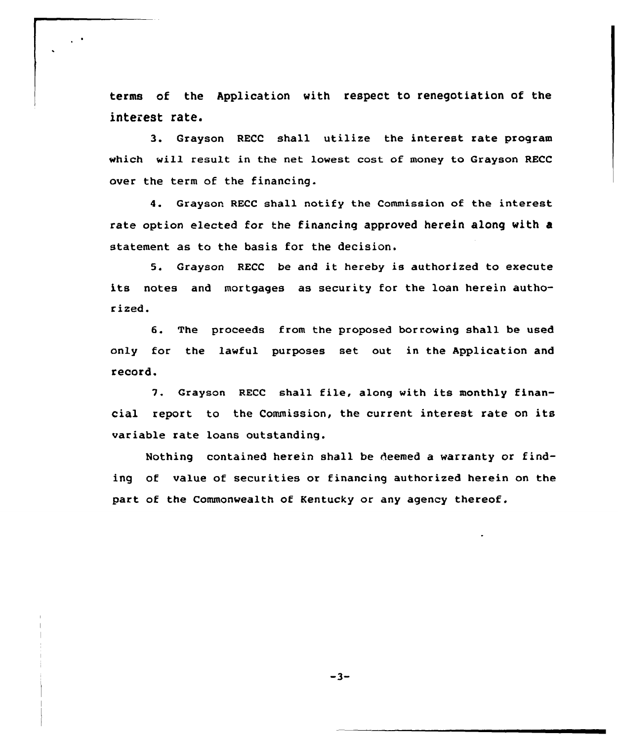terms of the Application with respect to renegotiation of the interest rate.

3. Grayson RECC shall utilize the interest rate program which will result in the net lowest cost of money to Grayson RECC over the term of the financing.

4. Grayson RECC shall notify the Commission of the interest rate option elected for the financing approved herein along with a statement as to the basis for the decision.

5. Grayson RECC be and it hereby is authorized to execute its notes and mortgages as security for the loan herein authorized.

6. The proceeds from the proposed borrowing shall be used only for the lawful purposes set out in the Application and record.

7. Grayson RECC shall file, along with its monthly financial report to the Commission, the current interest rate on its variable rate loans outstanding.

Nothing contained herein shall be deemed a warranty or finding of value of securities or financing authorized herein on the part of the Commonwealth of Kentucky or any agency thereof.

 $-3-$